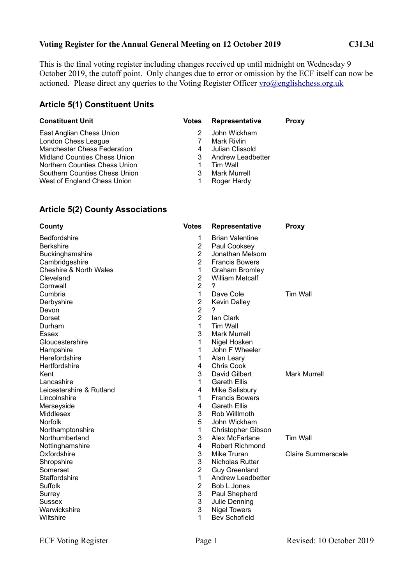#### **Voting Register for the Annual General Meeting on 12 October 2019 C31.3d**

This is the final voting register including changes received up until midnight on Wednesday 9 October 2019, the cutoff point. Only changes due to error or omission by the ECF itself can now be actioned. Please direct any queries to the Voting Register Officer [vro@englishchess.org.uk](mailto:vro@englishchess.org.uk)

## **Article 5(1) Constituent Units**

| <b>Constituent Unit</b>            | <b>Votes</b> | Representative      | <b>Proxy</b> |
|------------------------------------|--------------|---------------------|--------------|
| East Anglian Chess Union           |              | John Wickham        |              |
| London Chess League                |              | Mark Rivlin         |              |
| <b>Manchester Chess Federation</b> | 4            | Julian Clissold     |              |
| Midland Counties Chess Union       | 3            | Andrew Leadbetter   |              |
| Northern Counties Chess Union      |              | Tim Wall            |              |
| Southern Counties Chess Union      | 3            | <b>Mark Murrell</b> |              |
| West of England Chess Union        | 1            | Roger Hardy         |              |

## **Article 5(2) County Associations**

| County                            | <b>Votes</b>   | Representative            | <b>Proxy</b>              |
|-----------------------------------|----------------|---------------------------|---------------------------|
| Bedfordshire                      | 1              | <b>Brian Valentine</b>    |                           |
| <b>Berkshire</b>                  | $\overline{2}$ | Paul Cooksey              |                           |
| Buckinghamshire                   | $\overline{2}$ | Jonathan Melsom           |                           |
| Cambridgeshire                    | $\overline{2}$ | <b>Francis Bowers</b>     |                           |
| <b>Cheshire &amp; North Wales</b> | 1              | <b>Graham Bromley</b>     |                           |
| Cleveland                         | $\overline{2}$ | <b>William Metcalf</b>    |                           |
| Cornwall                          | $\overline{2}$ | $\overline{?}$            |                           |
| Cumbria                           | 1              | Dave Cole                 | <b>Tim Wall</b>           |
| Derbyshire                        | $\overline{c}$ | <b>Kevin Dalley</b>       |                           |
| Devon                             | $\overline{2}$ | ?                         |                           |
| Dorset                            | $\overline{2}$ | lan Clark                 |                           |
| Durham                            | 1              | Tim Wall                  |                           |
| Essex                             | 3              | <b>Mark Murrell</b>       |                           |
| Gloucestershire                   | 1              | Nigel Hosken              |                           |
| Hampshire                         | 1              | John F Wheeler            |                           |
| Herefordshire                     | 1              | Alan Leary                |                           |
| Hertfordshire                     | 4              | <b>Chris Cook</b>         |                           |
| Kent                              | 3              | David Gilbert             | <b>Mark Murrell</b>       |
| Lancashire                        | 1              | <b>Gareth Ellis</b>       |                           |
| Leicestershire & Rutland          | 4              | Mike Salisbury            |                           |
| Lincolnshire                      | 1              | <b>Francis Bowers</b>     |                           |
| Merseyside                        | 4              | <b>Gareth Ellis</b>       |                           |
| Middlesex                         | 3              | Rob Willlmoth             |                           |
| Norfolk                           | 5              | John Wickham              |                           |
| Northamptonshire                  | 1              | <b>Christopher Gibson</b> |                           |
| Northumberland                    | 3              | Alex McFarlane            | <b>Tim Wall</b>           |
| Nottinghamshire                   | 4              | <b>Robert Richmond</b>    |                           |
| Oxfordshire                       | 3              | Mike Truran               | <b>Claire Summerscale</b> |
| Shropshire                        | 3              | Nicholas Rutter           |                           |
| Somerset                          | $\overline{2}$ | <b>Guy Greenland</b>      |                           |
| Staffordshire                     | 1              | Andrew Leadbetter         |                           |
| Suffolk                           | 2              | Bob L Jones               |                           |
| Surrey                            | 3              | Paul Shepherd             |                           |
| Sussex                            | 3              | Julie Denning             |                           |
| Warwickshire                      | 3              | <b>Nigel Towers</b>       |                           |
| Wiltshire                         | 1              | <b>Bev Schofield</b>      |                           |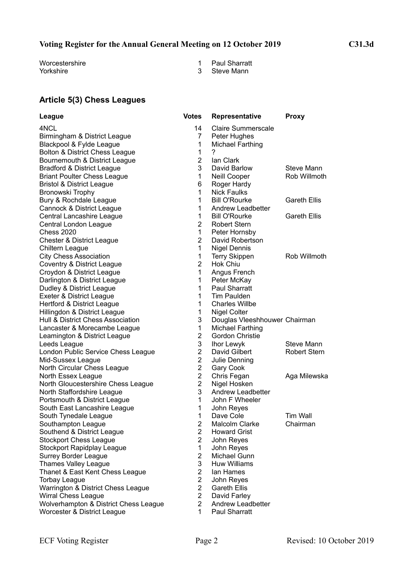# **Voting Register for the Annual General Meeting on 12 October 2019 C31.3d**

Worcestershire 1 Paul Sharratt<br>
Yorkshire 1 Paul Sharratt<br>
1 Paul Sharratt<br>
3 Steve Mann

- 
- 3 Steve Mann

# **Article 5(3) Chess Leagues**

| League                                | <b>Votes</b>   | <b>Representative</b>         | <b>Proxy</b>        |
|---------------------------------------|----------------|-------------------------------|---------------------|
| 4NCL                                  | 14             | <b>Claire Summerscale</b>     |                     |
| Birmingham & District League          | 7              | Peter Hughes                  |                     |
| Blackpool & Fylde League              | 1              | <b>Michael Farthing</b>       |                     |
| Bolton & District Chess League        | $\mathbf{1}$   | 7                             |                     |
| Bournemouth & District League         | $\overline{2}$ | lan Clark                     |                     |
| <b>Bradford &amp; District League</b> | 3              | David Barlow                  | Steve Mann          |
| <b>Briant Poulter Chess League</b>    | 1              | Neill Cooper                  | Rob Willmoth        |
| <b>Bristol &amp; District League</b>  | 6              | Roger Hardy                   |                     |
| Bronowski Trophy                      | 1              | <b>Nick Faulks</b>            |                     |
| Bury & Rochdale League                | 1              | <b>Bill O'Rourke</b>          | <b>Gareth Ellis</b> |
| Cannock & District League             | 1              | Andrew Leadbetter             |                     |
| Central Lancashire League             | 1              | <b>Bill O'Rourke</b>          | <b>Gareth Ellis</b> |
| Central London League                 | $\overline{2}$ | <b>Robert Stern</b>           |                     |
| <b>Chess 2020</b>                     | 1              | Peter Hornsby                 |                     |
| <b>Chester &amp; District League</b>  | $\overline{2}$ | David Robertson               |                     |
| Chiltern League                       | 1              | <b>Nigel Dennis</b>           |                     |
| <b>City Chess Association</b>         | 1              | <b>Terry Skippen</b>          | Rob Willmoth        |
| <b>Coventry &amp; District League</b> | $\overline{2}$ | Hok Chiu                      |                     |
| Croydon & District League             | 1              | Angus French                  |                     |
| Darlington & District League          | 1              | Peter McKay                   |                     |
| Dudley & District League              | 1              | <b>Paul Sharratt</b>          |                     |
| Exeter & District League              | 1              | <b>Tim Paulden</b>            |                     |
| Hertford & District League            | 1              | <b>Charles Willbe</b>         |                     |
| Hillingdon & District League          | 1              | Nigel Colter                  |                     |
| Hull & District Chess Association     | 3              | Douglas Vleeshhouwer Chairman |                     |
| Lancaster & Morecambe League          | 1              | Michael Farthing              |                     |
| Leamington & District League          | $\overline{2}$ | Gordon Christie               |                     |
| Leeds League                          | 3              | Ihor Lewyk                    | Steve Mann          |
| London Public Service Chess League    | $\overline{2}$ | David Gilbert                 | <b>Robert Stern</b> |
| Mid-Sussex League                     | $\overline{2}$ | Julie Denning                 |                     |
| North Circular Chess League           | $\overline{2}$ | Gary Cook                     |                     |
| North Essex League                    | $\overline{2}$ | Chris Fegan                   | Aga Milewska        |
| North Gloucestershire Chess League    | $\overline{2}$ | Nigel Hosken                  |                     |
| North Staffordshire League            | 3              | Andrew Leadbetter             |                     |
| Portsmouth & District League          | 1              | John F Wheeler                |                     |
| South East Lancashire League          | 1              | John Reyes                    |                     |
| South Tynedale League                 | 1              | Dave Cole                     | <b>Tim Wall</b>     |
| Southampton League                    | $\overline{2}$ | Malcolm Clarke                | Chairman            |
| Southend & District League            | 2              | <b>Howard Grist</b>           |                     |
| <b>Stockport Chess League</b>         | $\overline{2}$ | John Reyes                    |                     |
| Stockport Rapidplay League            | 1              | John Reyes                    |                     |
| <b>Surrey Border League</b>           | $\overline{2}$ | Michael Gunn                  |                     |
| <b>Thames Valley League</b>           | 3              | <b>Huw Williams</b>           |                     |
| Thanet & East Kent Chess League       | $\overline{2}$ | lan Hames                     |                     |
| <b>Torbay League</b>                  | $\overline{2}$ | John Reyes                    |                     |
| Warrington & District Chess League    | $\overline{2}$ | <b>Gareth Ellis</b>           |                     |
| <b>Wirral Chess League</b>            | $\overline{2}$ | David Farley                  |                     |
| Wolverhampton & District Chess League | $\overline{2}$ | Andrew Leadbetter             |                     |
| Worcester & District League           | 1              | Paul Sharratt                 |                     |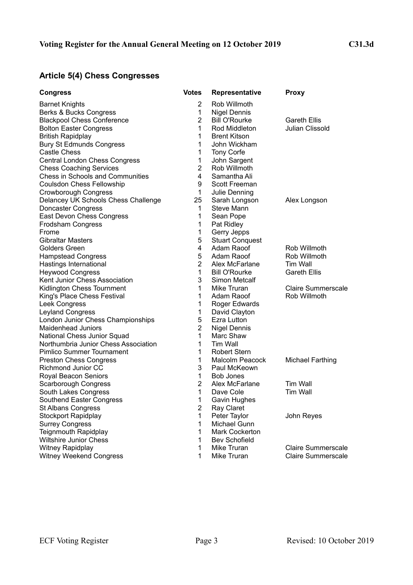# **Article 5(4) Chess Congresses**

| <b>Congress</b>                         | <b>Votes</b>   | Representative         | <b>Proxy</b>              |
|-----------------------------------------|----------------|------------------------|---------------------------|
| <b>Barnet Knights</b>                   | 2              | Rob Willmoth           |                           |
| <b>Berks &amp; Bucks Congress</b>       | 1              | <b>Nigel Dennis</b>    |                           |
| <b>Blackpool Chess Conference</b>       | $\overline{2}$ | <b>Bill O'Rourke</b>   | <b>Gareth Ellis</b>       |
| <b>Bolton Easter Congress</b>           | 1              | Rod Middleton          | Julian Clissold           |
| <b>British Rapidplay</b>                | 1              | <b>Brent Kitson</b>    |                           |
| <b>Bury St Edmunds Congress</b>         | 1              | John Wickham           |                           |
| Castle Chess                            | 1              | Tony Corfe             |                           |
| <b>Central London Chess Congress</b>    | $\mathbf 1$    | John Sargent           |                           |
| <b>Chess Coaching Services</b>          | $\overline{2}$ | Rob Willmoth           |                           |
| <b>Chess in Schools and Communities</b> | 4              | Samantha Ali           |                           |
| <b>Coulsdon Chess Fellowship</b>        | 9              | Scott Freeman          |                           |
| Crowborough Congress                    | 1              | Julie Denning          |                           |
| Delancey UK Schools Chess Challenge     | 25             | Sarah Longson          | Alex Longson              |
| Doncaster Congress                      | 1.             | Steve Mann             |                           |
| East Devon Chess Congress               | 1              | Sean Pope              |                           |
| Frodsham Congress                       | 1              | Pat Ridley             |                           |
| Frome                                   | $\mathbf{1}$   | Gerry Jepps            |                           |
| <b>Gibraltar Masters</b>                | 5              | <b>Stuart Conquest</b> |                           |
| Golders Green                           | 4              | Adam Raoof             | Rob Willmoth              |
| <b>Hampstead Congress</b>               | 5              | Adam Raoof             | Rob Willmoth              |
| Hastings International                  | $\overline{2}$ | Alex McFarlane         | Tim Wall                  |
| <b>Heywood Congress</b>                 | 1              | <b>Bill O'Rourke</b>   | <b>Gareth Ellis</b>       |
| Kent Junior Chess Association           | 3              | <b>Simon Metcalf</b>   |                           |
| Kidlington Chess Tournment              | 1              | Mike Truran            | <b>Claire Summerscale</b> |
| King's Place Chess Festival             | 1              | Adam Raoof             | Rob Willmoth              |
| Leek Congress                           | 1              | Roger Edwards          |                           |
| <b>Leyland Congress</b>                 | 1              | David Clayton          |                           |
| London Junior Chess Championships       | 5              | <b>Ezra Lutton</b>     |                           |
| <b>Maidenhead Juniors</b>               | $\overline{2}$ | <b>Nigel Dennis</b>    |                           |
| National Chess Junior Squad             | 1              | Marc Shaw              |                           |
| Northumbria Junior Chess Association    | 1              | Tim Wall               |                           |
| <b>Pimlico Summer Tournament</b>        | 1              | <b>Robert Stern</b>    |                           |
| <b>Preston Chess Congress</b>           | 1              | Malcolm Peacock        | <b>Michael Farthing</b>   |
| Richmond Junior CC                      | 3              | Paul McKeown           |                           |
| Royal Beacon Seniors                    | 1              | <b>Bob Jones</b>       |                           |
| Scarborough Congress                    | $\overline{2}$ | Alex McFarlane         | Tim Wall                  |
| South Lakes Congress                    | 1              | Dave Cole              | <b>Tim Wall</b>           |
| Southend Easter Congress                | 1              | Gavin Hughes           |                           |
| <b>St Albans Congress</b>               | $\overline{2}$ | Ray Claret             |                           |
| <b>Stockport Rapidplay</b>              | 1              | Peter Taylor           | John Reyes                |
| <b>Surrey Congress</b>                  | 1              | <b>Michael Gunn</b>    |                           |
| <b>Teignmouth Rapidplay</b>             | 1              | <b>Mark Cockerton</b>  |                           |
| <b>Wiltshire Junior Chess</b>           | 1              | <b>Bev Schofield</b>   |                           |
| Witney Rapidplay                        | 1              | Mike Truran            | <b>Claire Summerscale</b> |
| Witney Weekend Congress                 | 1              | Mike Truran            | <b>Claire Summerscale</b> |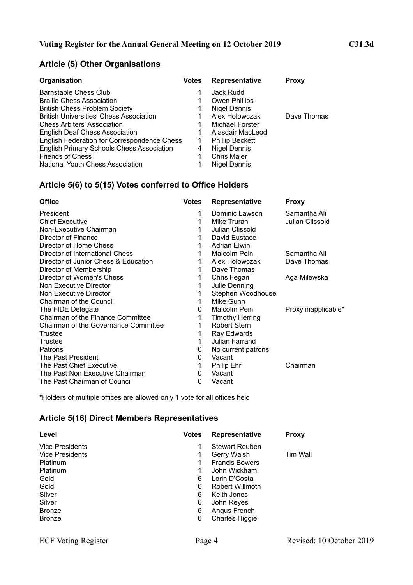# **Article (5) Other Organisations**

| Organisation                                     | <b>Votes</b> | Representative         | <b>Proxy</b> |
|--------------------------------------------------|--------------|------------------------|--------------|
| Barnstaple Chess Club                            |              | Jack Rudd              |              |
| <b>Braille Chess Association</b>                 |              | Owen Phillips          |              |
| <b>British Chess Problem Society</b>             |              | Nigel Dennis           |              |
| <b>British Universities' Chess Association</b>   |              | Alex Holowczak         | Dave Thomas  |
| <b>Chess Arbiters' Association</b>               |              | Michael Forster        |              |
| <b>English Deaf Chess Association</b>            |              | Alasdair MacLeod       |              |
| English Federation for Correspondence Chess      |              | <b>Phillip Beckett</b> |              |
| <b>English Primary Schools Chess Association</b> | 4            | <b>Nigel Dennis</b>    |              |
| <b>Friends of Chess</b>                          |              | Chris Majer            |              |
| <b>National Youth Chess Association</b>          |              | Nigel Dennis           |              |

# **Article 5(6) to 5(15) Votes conferred to Office Holders**

| <b>Votes</b> | <b>Representative</b>  | <b>Proxy</b>        |
|--------------|------------------------|---------------------|
| 1            | Dominic Lawson         | Samantha Ali        |
| 1            | Mike Truran            | Julian Clissold     |
| 1            | Julian Clissold        |                     |
|              | David Eustace          |                     |
| 1            | <b>Adrian Elwin</b>    |                     |
| 1            | Malcolm Pein           | Samantha Ali        |
| 1            | Alex Holowczak         | Dave Thomas         |
| 1            | Dave Thomas            |                     |
| 1            | Chris Fegan            | Aga Milewska        |
| 1            | Julie Denning          |                     |
|              | Stephen Woodhouse      |                     |
| 1            | Mike Gunn              |                     |
| 0            | Malcolm Pein           | Proxy inapplicable* |
| 1            | <b>Timothy Herring</b> |                     |
| 1            | <b>Robert Stern</b>    |                     |
| 1            | Ray Edwards            |                     |
| 1            | Julian Farrand         |                     |
| 0            | No current patrons     |                     |
| 0            | Vacant                 |                     |
| 1            | Philip Ehr             | Chairman            |
| 0            | Vacant                 |                     |
| 0            | Vacant                 |                     |
|              |                        |                     |

\*Holders of multiple offices are allowed only 1 vote for all offices held

### **Article 5(16) Direct Members Representatives**

| Level                  | <b>Votes</b> | Representative        | <b>Proxy</b> |
|------------------------|--------------|-----------------------|--------------|
| <b>Vice Presidents</b> |              | <b>Stewart Reuben</b> |              |
| <b>Vice Presidents</b> | 1            | Gerry Walsh           | Tim Wall     |
| Platinum               |              | <b>Francis Bowers</b> |              |
| Platinum               |              | John Wickham          |              |
| Gold                   | 6            | Lorin D'Costa         |              |
| Gold                   | 6            | Robert Willmoth       |              |
| Silver                 | 6            | Keith Jones           |              |
| Silver                 | 6            | John Reyes            |              |
| <b>Bronze</b>          | 6            | Angus French          |              |
| <b>Bronze</b>          | 6            | <b>Charles Higgie</b> |              |